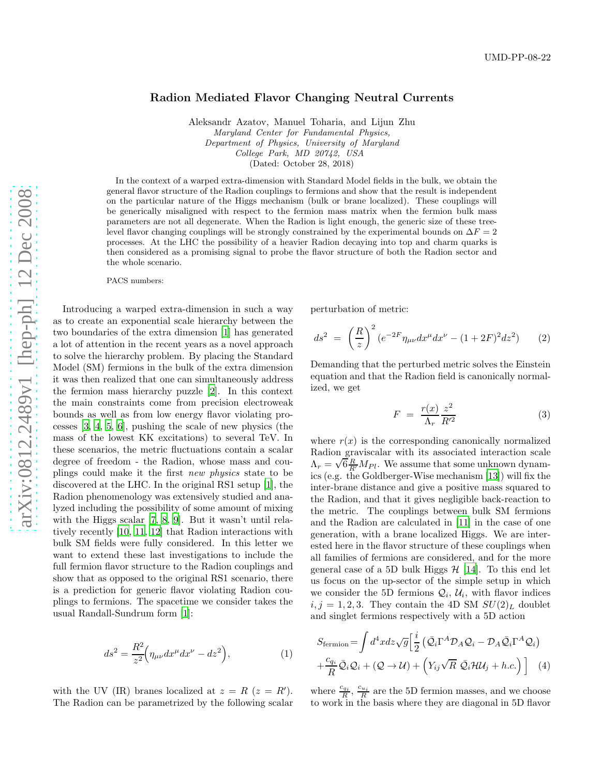## Radion Mediated Flavor Changing Neutral Currents

Aleksandr Azatov, Manuel Toharia, and Lijun Zhu Maryland Center for Fundamental Physics, Department of Physics, University of Maryland College Park, MD 20742, USA (Dated: October 28, 2018)

In the context of a warped extra-dimension with Standard Model fields in the bulk, we obtain the general flavor structure of the Radion couplings to fermions and show that the result is independent on the particular nature of the Higgs mechanism (bulk or brane localized). These couplings will be generically misaligned with respect to the fermion mass matrix when the fermion bulk mass parameters are not all degenerate. When the Radion is light enough, the generic size of these treelevel flavor changing couplings will be strongly constrained by the experimental bounds on  $\Delta F = 2$ processes. At the LHC the possibility of a heavier Radion decaying into top and charm quarks is then considered as a promising signal to probe the flavor structure of both the Radion sector and the whole scenario.

PACS numbers:

Introducing a warped extra-dimension in such a way as to create an exponential scale hierarchy between the two boundaries of the extra dimension [\[1](#page-3-0)] has generated a lot of attention in the recent years as a novel approach to solve the hierarchy problem. By placing the Standard Model (SM) fermions in the bulk of the extra dimension it was then realized that one can simultaneously address the fermion mass hierarchy puzzle [\[2](#page-3-1)]. In this context the main constraints come from precision electroweak bounds as well as from low energy flavor violating processes [\[3,](#page-3-2) [4](#page-3-3), [5,](#page-3-4) [6](#page-3-5)], pushing the scale of new physics (the mass of the lowest KK excitations) to several TeV. In these scenarios, the metric fluctuations contain a scalar degree of freedom - the Radion, whose mass and couplings could make it the first new physics state to be discovered at the LHC. In the original RS1 setup [\[1\]](#page-3-0), the Radion phenomenology was extensively studied and analyzed including the possibility of some amount of mixing with the Higgs scalar [\[7,](#page-3-6) [8,](#page-3-7) [9](#page-3-8)]. But it wasn't until relatively recently [\[10,](#page-3-9) [11,](#page-3-10) [12\]](#page-3-11) that Radion interactions with bulk SM fields were fully considered. In this letter we want to extend these last investigations to include the full fermion flavor structure to the Radion couplings and show that as opposed to the original RS1 scenario, there is a prediction for generic flavor violating Radion couplings to fermions. The spacetime we consider takes the usual Randall-Sundrum form [\[1\]](#page-3-0):

$$
ds^2 = \frac{R^2}{z^2} \Big(\eta_{\mu\nu} dx^{\mu} dx^{\nu} - dz^2\Big),\tag{1}
$$

with the UV (IR) branes localized at  $z = R$  ( $z = R'$ ). The Radion can be parametrized by the following scalar perturbation of metric:

<span id="page-0-0"></span>
$$
ds^{2} = \left(\frac{R}{z}\right)^{2} \left(e^{-2F}\eta_{\mu\nu}dx^{\mu}dx^{\nu} - (1+2F)^{2}dz^{2}\right) \tag{2}
$$

Demanding that the perturbed metric solves the Einstein equation and that the Radion field is canonically normalized, we get

$$
F = \frac{r(x)}{\Lambda_r} \frac{z^2}{R'^2} \tag{3}
$$

where  $r(x)$  is the corresponding canonically normalized Radion graviscalar with its associated interaction scale  $\Lambda_r = \sqrt{6\frac{R}{R'}} M_{Pl}$ . We assume that some unknown dynamics (e.g. the Goldberger-Wise mechanism [\[13](#page-3-12)]) will fix the inter-brane distance and give a positive mass squared to the Radion, and that it gives negligible back-reaction to the metric. The couplings between bulk SM fermions and the Radion are calculated in [\[11](#page-3-10)] in the case of one generation, with a brane localized Higgs. We are interested here in the flavor structure of these couplings when all families of fermions are considered, and for the more general case of a 5D bulk Higgs  $H$  [\[14\]](#page-3-13). To this end let us focus on the up-sector of the simple setup in which we consider the 5D fermions  $Q_i$ ,  $U_i$ , with flavor indices  $i, j = 1, 2, 3$ . They contain the 4D SM  $SU(2)_L$  doublet and singlet fermions respectively with a 5D action

<span id="page-0-1"></span>
$$
S_{\text{fermion}} = \int d^4x \, dz \sqrt{g} \left[ \frac{i}{2} \left( \bar{\mathcal{Q}}_i \Gamma^A \mathcal{D}_A \mathcal{Q}_i - \mathcal{D}_A \bar{\mathcal{Q}}_i \Gamma^A \mathcal{Q}_i \right) \right. \\ \left. + \frac{c_{q_i}}{R} \bar{\mathcal{Q}}_i \mathcal{Q}_i + \left( \mathcal{Q} \to \mathcal{U} \right) + \left( Y_{ij} \sqrt{R} \ \bar{\mathcal{Q}}_i \mathcal{H} \mathcal{U}_j + h.c. \right) \right] \tag{4}
$$

where  $\frac{c_{q_i}}{R}$ ,  $\frac{c_{u_i}}{R}$  are the 5D fermion masses, and we choose to work in the basis where they are diagonal in 5D flavor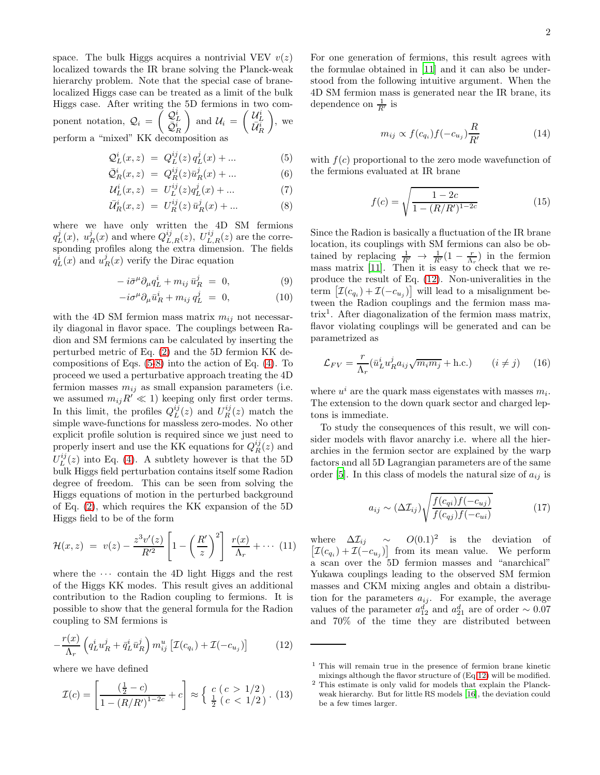space. The bulk Higgs acquires a nontrivial VEV  $v(z)$ localized towards the IR brane solving the Planck-weak hierarchy problem. Note that the special case of branelocalized Higgs case can be treated as a limit of the bulk Higgs case. After writing the 5D fermions in two component notation,  $Q_i = \begin{pmatrix} Q_L^i \\ \bar{Q}_R^i \end{pmatrix}$ and  $\mathcal{U}_i = \begin{pmatrix} \mathcal{U}_L^i \\ \bar{\mathcal{U}}_R^i \end{pmatrix}$  $\Big)$ , we perform a "mixed" KK decomposition as

<span id="page-1-0"></span>
$$
Q_L^i(x, z) = Q_L^{ij}(z) q_L^j(x) + ... \t\t(5)
$$

$$
\bar{Q}_R^i(x, z) = Q_R^{ij}(z)\bar{u}_R^j(x) + \dots \tag{6}
$$

$$
\mathcal{U}_L^i(x, z) = U_L^{ij}(z) q_L^j(x) + \dots \tag{7}
$$

$$
\bar{U}_R^i(x, z) = U_R^{ij}(z) \bar{u}_R^j(x) + \dots \tag{8}
$$

where we have only written the 4D SM fermions  $q_L^j(x)$ ,  $u_R^j(x)$  and where  $Q_{L,R}^{ij}(z)$ ,  $U_{L,R}^{ij}(z)$  are the corresponding profiles along the extra dimension. The fields  $q_L^i(x)$  and  $u_R^j(x)$  verify the Dirac equation

$$
-i\bar{\sigma}^{\mu}\partial_{\mu}q_{L}^{i} + m_{ij}\,\bar{u}_{R}^{j} = 0, \qquad (9)
$$

$$
-i\sigma^{\mu}\partial_{\mu}\bar{u}^{i}_{R} + m_{ij}q^{j}_{L} = 0, \qquad (10)
$$

with the 4D SM fermion mass matrix  $m_{ij}$  not necessarily diagonal in flavor space. The couplings between Radion and SM fermions can be calculated by inserting the perturbed metric of Eq. [\(2\)](#page-0-0) and the 5D fermion KK decompositions of Eqs. [\(5-8\)](#page-1-0) into the action of Eq. [\(4\)](#page-0-1). To proceed we used a perturbative approach treating the 4D fermion masses  $m_{ij}$  as small expansion parameters (i.e. we assumed  $m_{ij}R' \ll 1$ ) keeping only first order terms. In this limit, the profiles  $Q_L^{ij}(z)$  and  $U_R^{ij}(z)$  match the simple wave-functions for massless zero-modes. No other explicit profile solution is required since we just need to properly insert and use the KK equations for  $Q_R^{ij}(z)$  and  $U_L^{ij}(z)$  into Eq. [\(4\)](#page-0-1). A subtlety however is that the 5D bulk Higgs field perturbation contains itself some Radion degree of freedom. This can be seen from solving the Higgs equations of motion in the perturbed background of Eq. [\(2\)](#page-0-0), which requires the KK expansion of the 5D Higgs field to be of the form

$$
\mathcal{H}(x,z) = v(z) - \frac{z^3v'(z)}{R'^2} \left[1 - \left(\frac{R'}{z}\right)^2\right] \frac{r(x)}{\Lambda_r} + \cdots (11)
$$

where the  $\cdots$  contain the 4D light Higgs and the rest of the Higgs KK modes. This result gives an additional contribution to the Radion coupling to fermions. It is possible to show that the general formula for the Radion coupling to SM fermions is

<span id="page-1-1"></span>
$$
-\frac{r(x)}{\Lambda_r} \left( q_L^i u_R^j + \bar{q}_L^i \bar{u}_R^j \right) m_{ij}^u \left[ \mathcal{I}(c_{q_i}) + \mathcal{I}(-c_{u_j}) \right] \tag{12}
$$

where we have defined

$$
\mathcal{I}(c) = \left[\frac{\left(\frac{1}{2} - c\right)}{1 - (R/R')^{1 - 2c}} + c\right] \approx \left\{\frac{c}{\frac{1}{2}} \left(c < \frac{1}{2}\right). \tag{13}
$$

For one generation of fermions, this result agrees with the formulae obtained in [\[11\]](#page-3-10) and it can also be understood from the following intuitive argument. When the 4D SM fermion mass is generated near the IR brane, its dependence on  $\frac{1}{R'}$  is

$$
m_{ij} \propto f(c_{q_i}) f(-c_{u_j}) \frac{R}{R'}
$$
 (14)

with  $f(c)$  proportional to the zero mode wavefunction of the fermions evaluated at IR brane

$$
f(c) = \sqrt{\frac{1 - 2c}{1 - (R/R')^{1 - 2c}}}
$$
\n(15)

Since the Radion is basically a fluctuation of the IR brane location, its couplings with SM fermions can also be obtained by replacing  $\frac{1}{R'} \rightarrow \frac{1}{R'}(1 - \frac{r}{\Lambda_r})$  in the fermion mass matrix [\[11](#page-3-10)]. Then it is easy to check that we reproduce the result of Eq. [\(12\)](#page-1-1). Non-univeralities in the term  $\left[\mathcal{I}(c_{q_i}) + \mathcal{I}(-c_{u_j})\right]$  will lead to a misalignment between the Radion couplings and the fermion mass matrix<sup>1</sup> . After diagonalization of the fermion mass matrix, flavor violating couplings will be generated and can be parametrized as

<span id="page-1-2"></span>
$$
\mathcal{L}_{FV} = \frac{r}{\Lambda_r} (\bar{u}_L^i u_R^j a_{ij} \sqrt{m_i m_j} + \text{h.c.}) \qquad (i \neq j) \tag{16}
$$

where  $u^i$  are the quark mass eigenstates with masses  $m_i$ . The extension to the down quark sector and charged leptons is immediate.

To study the consequences of this result, we will consider models with flavor anarchy i.e. where all the hierarchies in the fermion sector are explained by the warp factors and all 5D Lagrangian parameters are of the same order [\[5\]](#page-3-4). In this class of models the natural size of  $a_{ij}$  is

$$
a_{ij} \sim (\Delta \mathcal{I}_{ij}) \sqrt{\frac{f(c_{qi})f(-c_{uj})}{f(c_{qj})f(-c_{ui})}}
$$
(17)

where  $\Delta \mathcal{I}_{ij} \sim O(0.1)^2$  is the deviation of  $[\mathcal{I}(c_{q_i}) + \mathcal{I}(-c_{u_j})]$  from its mean value. We perform a scan over the 5D fermion masses and "anarchical" Yukawa couplings leading to the observed SM fermion masses and CKM mixing angles and obtain a distribution for the parameters  $a_{ij}$ . For example, the average values of the parameter  $a_{12}^d$  and  $a_{21}^d$  are of order ~ 0.07 and 70% of the time they are distributed between

<sup>1</sup> This will remain true in the presence of fermion brane kinetic mixings although the flavor structure of (Eq[.12\)](#page-1-1) will be modified.

<sup>2</sup> This estimate is only valid for models that explain the Planckweak hierarchy. But for little RS models [\[16](#page-3-14)], the deviation could be a few times larger.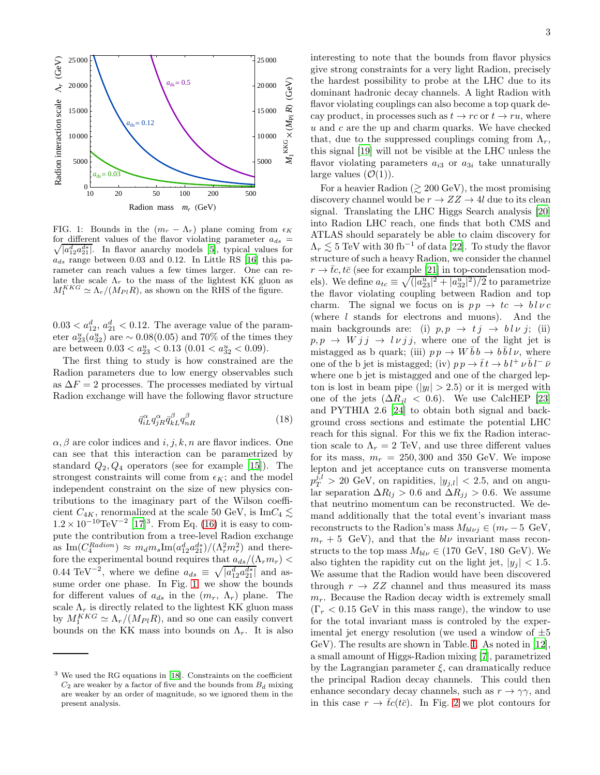

<span id="page-2-0"></span>FIG. 1: Bounds in the  $(m_r - \Lambda_r)$  plane coming from  $\epsilon_K$  $\sqrt{|a_{12}^d a_{21}^{d*}|}$ . In flavor anarchy models [\[5](#page-3-4)], typical values for for different values of the flavor violating parameter  $a_{ds}$  =  $a_{ds}$  range between 0.03 and 0.12. In Little RS [\[16](#page-3-14)] this parameter can reach values a few times larger. One can relate the scale  $\Lambda_r$  to the mass of the lightest KK gluon as  $M_1^{KKG} \simeq \Lambda_r/(M_{Pl}R)$ , as shown on the RHS of the figure.

 $0.03 < a_{12}^d, a_{21}^d < 0.12$ . The average value of the parameter  $a_{23}^u(a_{32}^u)$  are  $\sim 0.08(0.05)$  and 70% of the times they are between  $0.03 < a_{23}^u < 0.13$   $(0.01 < a_{32}^u < 0.09)$ .

The first thing to study is how constrained are the Radion parameters due to low energy observables such as  $\Delta F = 2$  processes. The processes mediated by virtual Radion exchange will have the following flavor structure

$$
\bar{q}_{iL}^{\alpha} q_{jR}^{\alpha} \bar{q}_{kL}^{\beta} q_{nR}^{\beta} \tag{18}
$$

 $\alpha, \beta$  are color indices and  $i, j, k, n$  are flavor indices. One can see that this interaction can be parametrized by standard  $Q_2, Q_4$  operators (see for example [\[15](#page-3-15)]). The strongest constraints will come from  $\epsilon_K$ ; and the model independent constraint on the size of new physics contributions to the imaginary part of the Wilson coefficient  $C_{4K}$ , renormalized at the scale 50 GeV, is Im $C_4 \lesssim$  $1.2 \times 10^{-10} \text{TeV}^{-2}$  [\[17\]](#page-3-16)<sup>3</sup>. From Eq. [\(16\)](#page-1-2) it is easy to compute the contribution from a tree-level Radion exchange as  $\text{Im}(C_4^{Radion}) \approx m_d m_s \text{Im}(a_{12}^d a_{21}^{d*})/(\Lambda_r^2 m_r^2)$  and therefore the experimental bound requires that  $a_{ds}/(\Lambda_r m_r)$  < 0.44 TeV<sup>-2</sup>, where we define  $a_{ds} \equiv \sqrt{|a_{12}^d a_{21}^{d*}|}$  and assume order one phase. In Fig. [1,](#page-2-0) we show the bounds for different values of  $a_{ds}$  in the  $(m_r, \Lambda_r)$  plane. The scale  $\Lambda_r$  is directly related to the lightest KK gluon mass by  $M_1^{KKG} \simeq \Lambda_r/(M_{Pl}R)$ , and so one can easily convert bounds on the KK mass into bounds on  $\Lambda_r$ . It is also interesting to note that the bounds from flavor physics give strong constraints for a very light Radion, precisely the hardest possibility to probe at the LHC due to its dominant hadronic decay channels. A light Radion with flavor violating couplings can also become a top quark decay product, in processes such as  $t \to rc$  or  $t \to ru$ , where  $u$  and  $c$  are the up and charm quarks. We have checked that, due to the suppressed couplings coming from  $\Lambda_r$ , this signal [\[19\]](#page-3-18) will not be visible at the LHC unless the flavor violating parameters  $a_{i3}$  or  $a_{3i}$  take unnaturally

large values  $(\mathcal{O}(1))$ .

For a heavier Radion ( $\gtrsim 200 \,\text{GeV}$ ), the most promising discovery channel would be  $r \to ZZ \to 4l$  due to its clean signal. Translating the LHC Higgs Search analysis [\[20](#page-3-19)] into Radion LHC reach, one finds that both CMS and ATLAS should separately be able to claim discovery for  $\Lambda_r \lesssim 5 \text{ TeV}$  with 30 fb<sup>-1</sup> of data [\[22](#page-3-20)]. To study the flavor structure of such a heavy Radion, we consider the channel  $r \to \bar{t}c$ ,  $t\bar{c}$  (see for example [\[21\]](#page-3-21) in top-condensation models). We define  $a_{tc} \equiv \sqrt{(|a_{23}^u|^2 + |a_{32}^u|^2)/2}$  to parametrize the flavor violating coupling between Radion and top charm. The signal we focus on is  $p p \rightarrow tc \rightarrow bl \nu c$ (where l stands for electrons and muons). And the main backgrounds are: (i)  $p, p \rightarrow t j \rightarrow bl \nu j$ ; (ii)  $p, p \rightarrow W j j \rightarrow l \nu j j$ , where one of the light jet is mistagged as b quark; (iii)  $p p \to W \bar{b} b \to b \bar{b} l \nu$ , where one of the b jet is mistagged; (iv)  $p p \to \bar{t} t \to b l^+ \nu \bar{b} l^- \bar{\nu}$ where one b jet is mistagged and one of the charged lepton is lost in beam pipe  $(|y_l| > 2.5)$  or it is merged with one of the jets  $(\Delta R_{il} < 0.6)$ . We use CalcHEP [\[23](#page-3-22)] and PYTHIA 2.6 [\[24\]](#page-3-23) to obtain both signal and background cross sections and estimate the potential LHC reach for this signal. For this we fix the Radion interaction scale to  $\Lambda_r = 2$  TeV, and use three different values for its mass,  $m_r = 250,300$  and 350 GeV. We impose lepton and jet acceptance cuts on transverse momenta  $p_T^{j,l} > 20$  GeV, on rapidities,  $|y_{j,l}| < 2.5$ , and on angular separation  $\Delta R_{lj} > 0.6$  and  $\Delta R_{jj} > 0.6$ . We assume that neutrino momentum can be reconstructed. We demand additionally that the total event's invariant mass reconstructs to the Radion's mass  $M_{bl\nu j} \in (m_r - 5 \text{ GeV},$  $m_r + 5$  GeV), and that the  $bl\nu$  invariant mass reconstructs to the top mass  $M_{bl\nu} \in (170 \text{ GeV}, 180 \text{ GeV})$ . We also tighten the rapidity cut on the light jet,  $|y_i| < 1.5$ . We assume that the Radion would have been discovered through  $r \to ZZ$  channel and thus measured its mass  $m_r$ . Because the Radion decay width is extremely small  $(\Gamma_r < 0.15 \text{ GeV}$  in this mass range), the window to use for the total invariant mass is controled by the experimental jet energy resolution (we used a window of  $\pm 5$ GeV). The results are shown in Table. [I.](#page-3-24) As noted in [\[12\]](#page-3-11), a small amount of Higgs-Radion mixing [\[7\]](#page-3-6), parametrized by the Lagrangian parameter  $\xi$ , can dramatically reduce the principal Radion decay channels. This could then enhance secondary decay channels, such as  $r \to \gamma \gamma$ , and in this case  $r \to \bar{t}c(t\bar{c})$ . In Fig. [2](#page-3-25) we plot contours for

<sup>3</sup> We used the RG equations in [\[18](#page-3-17)]. Constraints on the coefficient  $C_2$  are weaker by a factor of five and the bounds from  $B_d$  mixing are weaker by an order of magnitude, so we ignored them in the present analysis.